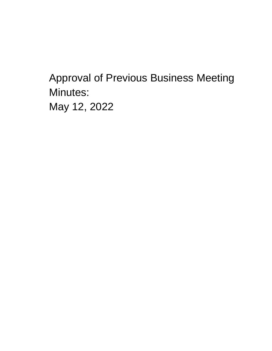**Approval of Previous Business Meeting** Minutes: May 12, 2022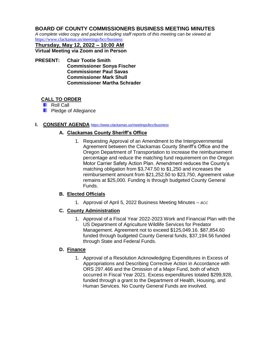#### **BOARD OF COUNTY COMMISSIONERS BUSINESS MEETING MINUTES**

*A complete video copy and packet including staff reports of this meeting can be viewed at*  <https://www.clackamas.us/meetings/bcc/business>

**Thursday, May 12, 2022 – 10:00 AM Virtual Meeting via Zoom and in Person**

**PRESENT: Chair Tootie Smith Commissioner Sonya Fischer Commissioner Paul Savas Commissioner Mark Shull Commissioner Martha Schrader**

#### **CALL TO ORDER**

**Roll Call** 

**Pledge of Allegiance** 

#### **I. CONSENT AGENDA** *<https://www.clackamas.us/meetings/bcc/business>*

#### **A. Clackamas County Sheriff's Office**

1. Requesting Approval of an Amendment to the Intergovernmental Agreement between the Clackamas County Sheriff's Office and the Oregon Department of Transportation to increase the reimbursement percentage and reduce the matching fund requirement on the Oregon Motor Carrier Safety Action Plan. Amendment reduces the County's matching obligation from \$3,747.50 to \$1,250 and increases the reimbursement amount from \$21,252.50 to \$23,750, Agreement value remains at \$25,000. Funding is through budgeted County General Funds.

#### **B. Elected Officials**

1. Approval of April 5, 2022 Business Meeting Minutes – *BCC*

#### **C. County Administration**

1. Approval of a Fiscal Year 2022-2023 Work and Financial Plan with the US Department of Agriculture Wildlife Services for Predator Management. Agreement not to exceed \$125,049.16. \$87,854.60 funded through budgeted County General funds, \$37,194.56 funded through State and Federal Funds.

#### **D. Finance**

1. Approval of a Resolution Acknowledging Expenditures in Excess of Appropriations and Describing Corrective Action in Accordance with ORS 297.466 and the Omission of a Major Fund, both of which occurred in Fiscal Year 2021. Excess expenditures totaled \$299,928, funded through a grant to the Department of Health, Housing, and Human Services. No County General Funds are involved.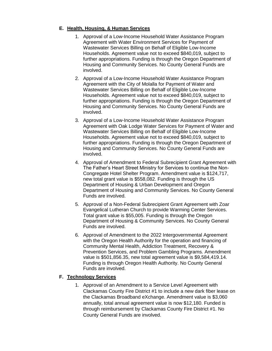#### **E. Health, Housing, & Human Services**

- 1. Approval of a Low-Income Household Water Assistance Program Agreement with Water Environment Services for Payment of Wastewater Services Billing on Behalf of Eligible Low-Income Households. Agreement value not to exceed \$840,019, subject to further appropriations. Funding is through the Oregon Department of Housing and Community Services. No County General Funds are involved.
- 2. Approval of a Low-Income Household Water Assistance Program Agreement with the City of Molalla for Payment of Water and Wastewater Services Billing on Behalf of Eligible Low-Income Households. Agreement value not to exceed \$840,019, subject to further appropriations. Funding is through the Oregon Department of Housing and Community Services. No County General Funds are involved.
- 3. Approval of a Low-Income Household Water Assistance Program Agreement with Oak Lodge Water Services for Payment of Water and Wastewater Services Billing on Behalf of Eligible Low-Income Households. Agreement value not to exceed \$840,019, subject to further appropriations. Funding is through the Oregon Department of Housing and Community Services. No County General Funds are involved.
- 4. Approval of Amendment to Federal Subrecipient Grant Agreement with The Father's Heart Street Ministry for Services to continue the Non-Congregate Hotel Shelter Program. Amendment value is \$124,717, new total grant value is \$558,082. Funding is through the US Department of Housing & Urban Development and Oregon Department of Housing and Community Services. No County General Funds are involved.
- 5. Approval of a Non-Federal Subrecipient Grant Agreement with Zoar Evangelical Lutheran Church to provide Warming Center Services. Total grant value is \$55,005. Funding is through the Oregon Department of Housing & Community Services. No County General Funds are involved.
- 6. Approval of Amendment to the 2022 Intergovernmental Agreement with the Oregon Health Authority for the operation and financing of Community Mental Health, Addiction Treatment, Recovery & Prevention Services, and Problem Gambling Programs. Amendment value is \$501,856.35, new total agreement value is \$9,584,419.14. Funding is through Oregon Health Authority. No County General Funds are involved.

## **F. Technology Services**

1. Approval of an Amendment to a Service Level Agreement with Clackamas County Fire District #1 to include a new dark fiber lease on the Clackamas Broadband eXchange. Amendment value is \$3,060 annually, total annual agreement value is now \$12,180. Funded is through reimbursement by Clackamas County Fire District #1. No County General Funds are involved.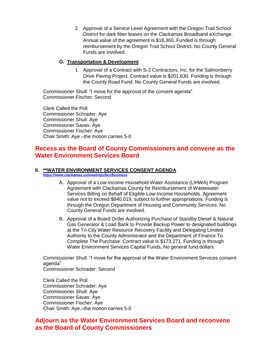2. Approval of a Service Level Agreement with the Oregon Trail School District for dark fiber leases on the Clackamas Broadband eXchange. Annual value of the agreement is \$18,360. Funded is through reimbursement by the Oregon Trail School District. No County General Funds are involved.

#### **G. Transportation & Development**

1. Approval of a Contract with S-2 Contractors, Inc, for the Salmonberry Drive Paving Project. Contract value is \$201,630. Funding is through the County Road Fund. No County General Funds are involved.

Commissioner Shull: "I move for the approval of the consent agenda" Commissioner Fischer: Second

Clerk Called the Poll Commissioner Schrader: Aye Commissioner Shull: Aye Commissioner Savas: Aye Commissioner Fischer: Aye Chair Smith: Aye.–the motion carries 5-0

## **Recess as the Board of County Commissioners and convene as the Water Environment Services Board**

#### **II. \*\*WATER ENVIRONMENT SERVICES CONSENT AGENDA**

*<https://www.clackamas.us/meetings/bcc/business>*

- A. Approval of a Low-Income Household Water Assistance (LIHWA) Program Agreement with Clackamas County for Reimbursement of Wastewater Services Billing on Behalf of Eligible Low-Income Households. Agreement value not to exceed \$840,019, subject to further appropriations. Funding is through the Oregon Department of Housing and Community Services. No County General Funds are involved.
- B. Approval of a Board Order Authorizing Purchase of Standby Diesel & Natural Gas Generator & Load Bank to Provide Backup Power to designated buildings at the Tri-City Water Resource Recovery Facility and Delegating Limited Authority to the County Administrator and the Department of Finance To Complete The Purchase. Contract value is \$173,271. Funding is through Water Environment Services Capital Funds, No general fund dollars

Commissioner Shull: "I move for the approval of the Water Environment Services consent agenda" Commissioner Schrader: Second

Clerk Called the Poll Commissioner Schrader: Aye Commissioner Shull: Aye Commissioner Savas: Aye Commissioner Fischer: Aye Chair Smith: Aye.–the motion carries 5-0

## **Adjourn as the Water Environment Services Board and reconvene as the Board of County Commissioners**